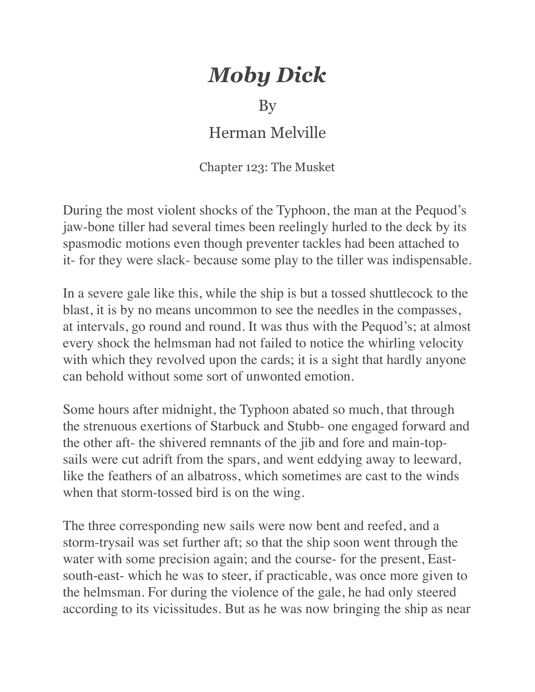## *Moby Dick*

## By

## Herman Melville

Chapter 123: The Musket

During the most violent shocks of the Typhoon, the man at the Pequod's jaw-bone tiller had several times been reelingly hurled to the deck by its spasmodic motions even though preventer tackles had been attached to it- for they were slack- because some play to the tiller was indispensable.

In a severe gale like this, while the ship is but a tossed shuttlecock to the blast, it is by no means uncommon to see the needles in the compasses, at intervals, go round and round. It was thus with the Pequod's; at almost every shock the helmsman had not failed to notice the whirling velocity with which they revolved upon the cards; it is a sight that hardly anyone can behold without some sort of unwonted emotion.

Some hours after midnight, the Typhoon abated so much, that through the strenuous exertions of Starbuck and Stubb- one engaged forward and the other aft- the shivered remnants of the jib and fore and main-topsails were cut adrift from the spars, and went eddying away to leeward, like the feathers of an albatross, which sometimes are cast to the winds when that storm-tossed bird is on the wing.

The three corresponding new sails were now bent and reefed, and a storm-trysail was set further aft; so that the ship soon went through the water with some precision again; and the course- for the present, Eastsouth-east- which he was to steer, if practicable, was once more given to the helmsman. For during the violence of the gale, he had only steered according to its vicissitudes. But as he was now bringing the ship as near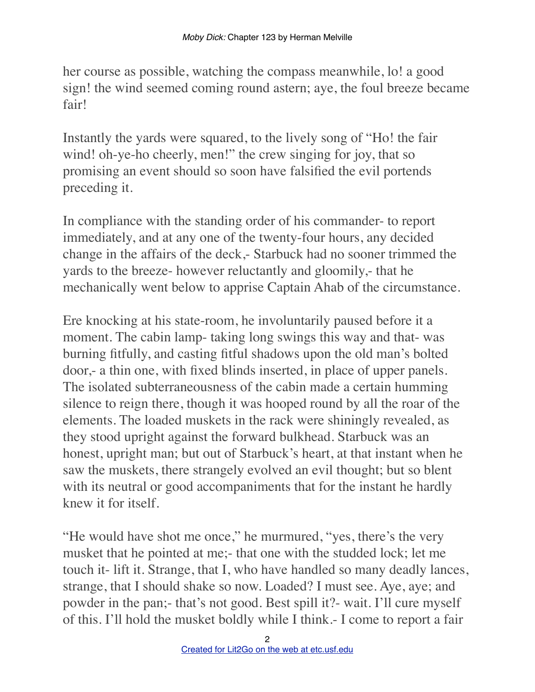her course as possible, watching the compass meanwhile, lo! a good sign! the wind seemed coming round astern; aye, the foul breeze became fair!

Instantly the yards were squared, to the lively song of "Ho! the fair wind! oh-ye-ho cheerly, men!" the crew singing for joy, that so promising an event should so soon have falsified the evil portends preceding it.

In compliance with the standing order of his commander- to report immediately, and at any one of the twenty-four hours, any decided change in the affairs of the deck,- Starbuck had no sooner trimmed the yards to the breeze- however reluctantly and gloomily,- that he mechanically went below to apprise Captain Ahab of the circumstance.

Ere knocking at his state-room, he involuntarily paused before it a moment. The cabin lamp- taking long swings this way and that- was burning fitfully, and casting fitful shadows upon the old man's bolted door,- a thin one, with fixed blinds inserted, in place of upper panels. The isolated subterraneousness of the cabin made a certain humming silence to reign there, though it was hooped round by all the roar of the elements. The loaded muskets in the rack were shiningly revealed, as they stood upright against the forward bulkhead. Starbuck was an honest, upright man; but out of Starbuck's heart, at that instant when he saw the muskets, there strangely evolved an evil thought; but so blent with its neutral or good accompaniments that for the instant he hardly knew it for itself.

"He would have shot me once," he murmured, "yes, there's the very musket that he pointed at me;- that one with the studded lock; let me touch it- lift it. Strange, that I, who have handled so many deadly lances, strange, that I should shake so now. Loaded? I must see. Aye, aye; and powder in the pan;- that's not good. Best spill it?- wait. I'll cure myself of this. I'll hold the musket boldly while I think.- I come to report a fair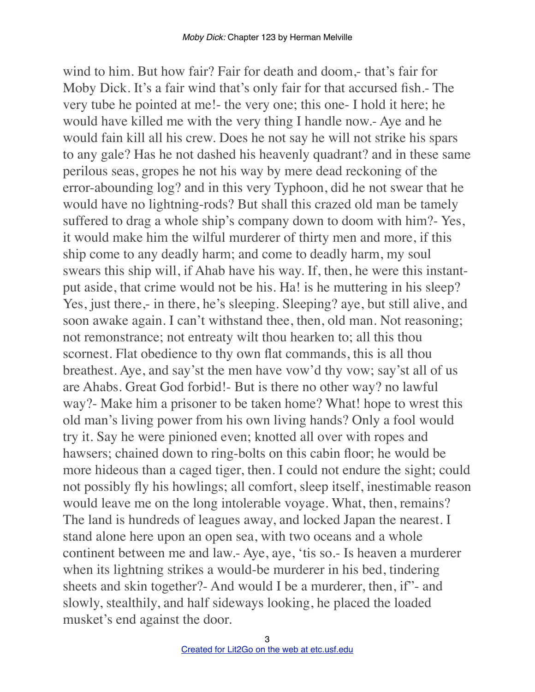wind to him. But how fair? Fair for death and doom,- that's fair for Moby Dick. It's a fair wind that's only fair for that accursed fish.- The very tube he pointed at me!- the very one; this one- I hold it here; he would have killed me with the very thing I handle now.- Aye and he would fain kill all his crew. Does he not say he will not strike his spars to any gale? Has he not dashed his heavenly quadrant? and in these same perilous seas, gropes he not his way by mere dead reckoning of the error-abounding log? and in this very Typhoon, did he not swear that he would have no lightning-rods? But shall this crazed old man be tamely suffered to drag a whole ship's company down to doom with him?- Yes, it would make him the wilful murderer of thirty men and more, if this ship come to any deadly harm; and come to deadly harm, my soul swears this ship will, if Ahab have his way. If, then, he were this instantput aside, that crime would not be his. Ha! is he muttering in his sleep? Yes, just there,- in there, he's sleeping. Sleeping? aye, but still alive, and soon awake again. I can't withstand thee, then, old man. Not reasoning; not remonstrance; not entreaty wilt thou hearken to; all this thou scornest. Flat obedience to thy own flat commands, this is all thou breathest. Aye, and say'st the men have vow'd thy vow; say'st all of us are Ahabs. Great God forbid!- But is there no other way? no lawful way?- Make him a prisoner to be taken home? What! hope to wrest this old man's living power from his own living hands? Only a fool would try it. Say he were pinioned even; knotted all over with ropes and hawsers; chained down to ring-bolts on this cabin floor; he would be more hideous than a caged tiger, then. I could not endure the sight; could not possibly fly his howlings; all comfort, sleep itself, inestimable reason would leave me on the long intolerable voyage. What, then, remains? The land is hundreds of leagues away, and locked Japan the nearest. I stand alone here upon an open sea, with two oceans and a whole continent between me and law.- Aye, aye, 'tis so.- Is heaven a murderer when its lightning strikes a would-be murderer in his bed, tindering sheets and skin together?- And would I be a murderer, then, if"- and slowly, stealthily, and half sideways looking, he placed the loaded musket's end against the door.